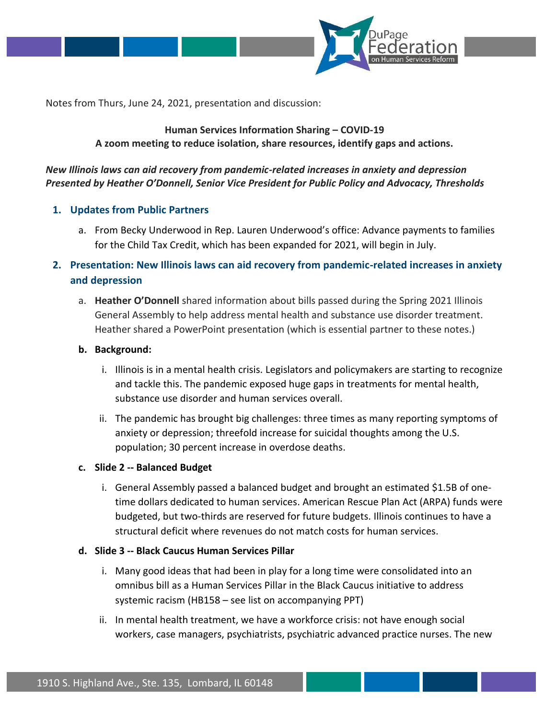

Notes from Thurs, June 24, 2021, presentation and discussion:

### **Human Services Information Sharing – COVID-19 A zoom meeting to reduce isolation, share resources, identify gaps and actions.**

# *New Illinois laws can aid recovery from pandemic-related increases in anxiety and depression Presented by Heather O'Donnell, Senior Vice President for Public Policy and Advocacy, Thresholds*

#### **1. Updates from Public Partners**

- a. From Becky Underwood in Rep. Lauren Underwood's office: Advance payments to families for the Child Tax Credit, which has been expanded for 2021, will begin in July.
- **2. Presentation: New Illinois laws can aid recovery from pandemic-related increases in anxiety and depression**
	- a. **Heather O'Donnell** shared information about bills passed during the Spring 2021 Illinois General Assembly to help address mental health and substance use disorder treatment. Heather shared a PowerPoint presentation (which is essential partner to these notes.)

#### **b. Background:**

- i. Illinois is in a mental health crisis. Legislators and policymakers are starting to recognize and tackle this. The pandemic exposed huge gaps in treatments for mental health, substance use disorder and human services overall.
- ii. The pandemic has brought big challenges: three times as many reporting symptoms of anxiety or depression; threefold increase for suicidal thoughts among the U.S. population; 30 percent increase in overdose deaths.

#### **c. Slide 2 -- Balanced Budget**

i. General Assembly passed a balanced budget and brought an estimated \$1.5B of onetime dollars dedicated to human services. American Rescue Plan Act (ARPA) funds were budgeted, but two-thirds are reserved for future budgets. Illinois continues to have a structural deficit where revenues do not match costs for human services.

#### **d. Slide 3 -- Black Caucus Human Services Pillar**

- i. Many good ideas that had been in play for a long time were consolidated into an omnibus bill as a Human Services Pillar in the Black Caucus initiative to address systemic racism (HB158 – see list on accompanying PPT)
- ii. In mental health treatment, we have a workforce crisis: not have enough social workers, case managers, psychiatrists, psychiatric advanced practice nurses. The new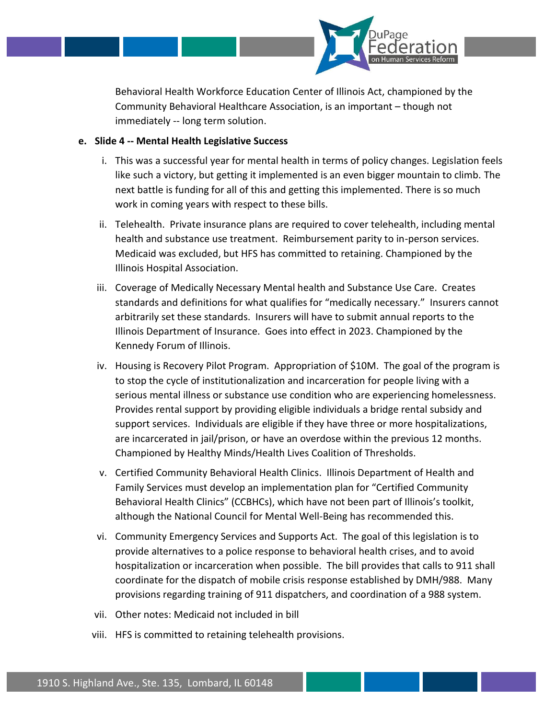

Behavioral Health Workforce Education Center of Illinois Act, championed by the Community Behavioral Healthcare Association, is an important – though not immediately -- long term solution.

### **e. Slide 4 -- Mental Health Legislative Success**

- i. This was a successful year for mental health in terms of policy changes. Legislation feels like such a victory, but getting it implemented is an even bigger mountain to climb. The next battle is funding for all of this and getting this implemented. There is so much work in coming years with respect to these bills.
- ii. Telehealth. Private insurance plans are required to cover telehealth, including mental health and substance use treatment. Reimbursement parity to in-person services. Medicaid was excluded, but HFS has committed to retaining. Championed by the Illinois Hospital Association.
- iii. Coverage of Medically Necessary Mental health and Substance Use Care. Creates standards and definitions for what qualifies for "medically necessary." Insurers cannot arbitrarily set these standards. Insurers will have to submit annual reports to the Illinois Department of Insurance. Goes into effect in 2023. Championed by the Kennedy Forum of Illinois.
- iv. Housing is Recovery Pilot Program. Appropriation of \$10M. The goal of the program is to stop the cycle of institutionalization and incarceration for people living with a serious mental illness or substance use condition who are experiencing homelessness. Provides rental support by providing eligible individuals a bridge rental subsidy and support services. Individuals are eligible if they have three or more hospitalizations, are incarcerated in jail/prison, or have an overdose within the previous 12 months. Championed by Healthy Minds/Health Lives Coalition of Thresholds.
- v. Certified Community Behavioral Health Clinics. Illinois Department of Health and Family Services must develop an implementation plan for "Certified Community Behavioral Health Clinics" (CCBHCs), which have not been part of Illinois's toolkit, although the National Council for Mental Well-Being has recommended this.
- vi. Community Emergency Services and Supports Act. The goal of this legislation is to provide alternatives to a police response to behavioral health crises, and to avoid hospitalization or incarceration when possible. The bill provides that calls to 911 shall coordinate for the dispatch of mobile crisis response established by DMH/988. Many provisions regarding training of 911 dispatchers, and coordination of a 988 system.
- vii. Other notes: Medicaid not included in bill
- viii. HFS is committed to retaining telehealth provisions.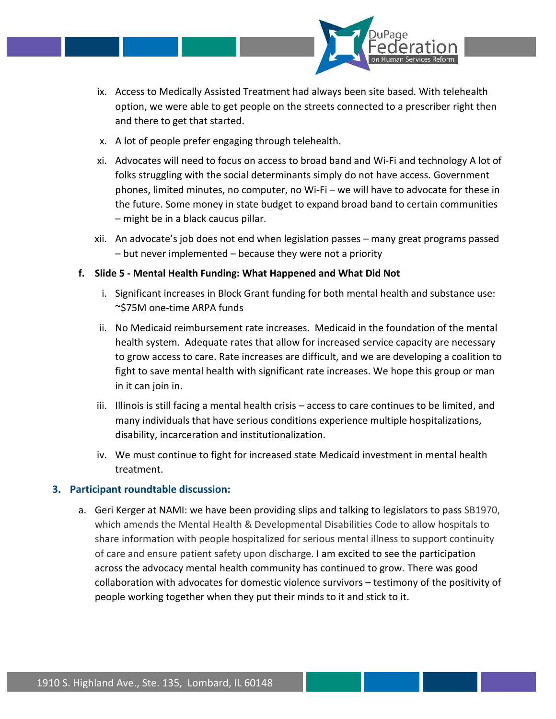

- ix. Access to Medically Assisted Treatment had always been site based. With telehealth option, we were able to get people on the streets connected to a prescriber right then and there to get that started.
- x. A lot of people prefer engaging through telehealth.
- xi. Advocates will need to focus on access to broad band and Wi-Fi and technology A lot of folks struggling with the social determinants simply do not have access. Government phones, limited minutes, no computer, no Wi-Fi – we will have to advocate for these in the future. Some money in state budget to expand broad band to certain communities – might be in a black caucus pillar.
- xii. An advocate's job does not end when legislation passes many great programs passed – but never implemented – because they were not a priority
- **f. Slide 5 - Mental Health Funding: What Happened and What Did Not**
	- i. Significant increases in Block Grant funding for both mental health and substance use: ~\$75M one-time ARPA funds
	- ii. No Medicaid reimbursement rate increases. Medicaid in the foundation of the mental health system. Adequate rates that allow for increased service capacity are necessary to grow access to care. Rate increases are difficult, and we are developing a coalition to fight to save mental health with significant rate increases. We hope this group or man in it can join in.
	- iii. Illinois is still facing a mental health crisis access to care continues to be limited, and many individuals that have serious conditions experience multiple hospitalizations, disability, incarceration and institutionalization.
	- iv. We must continue to fight for increased state Medicaid investment in mental health treatment.

# **3. Participant roundtable discussion:**

a. Geri Kerger at NAMI: we have been providing slips and talking to legislators to pass SB1970, which amends the Mental Health & Developmental Disabilities Code to allow hospitals to share information with people hospitalized for serious mental illness to support continuity of care and ensure patient safety upon discharge. I am excited to see the participation across the advocacy mental health community has continued to grow. There was good collaboration with advocates for domestic violence survivors – testimony of the positivity of people working together when they put their minds to it and stick to it.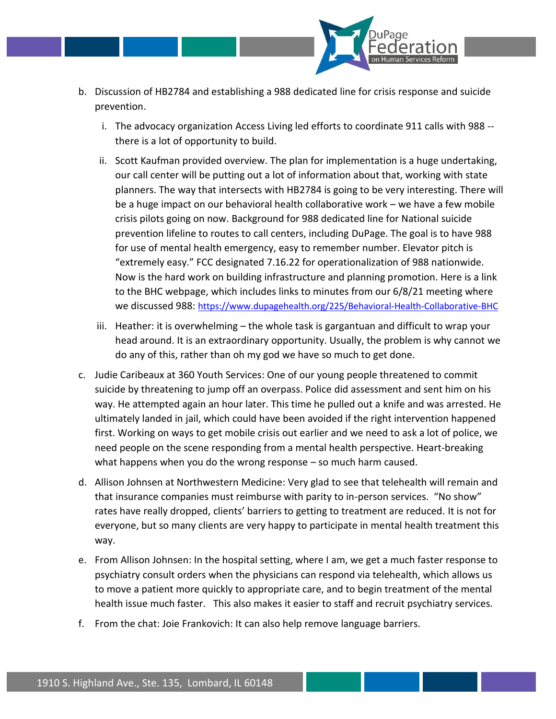

- b. Discussion of HB2784 and establishing a 988 dedicated line for crisis response and suicide prevention.
	- i. The advocacy organization Access Living led efforts to coordinate 911 calls with 988 there is a lot of opportunity to build.
	- ii. Scott Kaufman provided overview. The plan for implementation is a huge undertaking, our call center will be putting out a lot of information about that, working with state planners. The way that intersects with HB2784 is going to be very interesting. There will be a huge impact on our behavioral health collaborative work – we have a few mobile crisis pilots going on now. Background for 988 dedicated line for National suicide prevention lifeline to routes to call centers, including DuPage. The goal is to have 988 for use of mental health emergency, easy to remember number. Elevator pitch is "extremely easy." FCC designated 7.16.22 for operationalization of 988 nationwide. Now is the hard work on building infrastructure and planning promotion. Here is a link to the BHC webpage, which includes links to minutes from our 6/8/21 meeting where we discussed 988: <https://www.dupagehealth.org/225/Behavioral-Health-Collaborative-BHC>
	- iii. Heather: it is overwhelming the whole task is gargantuan and difficult to wrap your head around. It is an extraordinary opportunity. Usually, the problem is why cannot we do any of this, rather than oh my god we have so much to get done.
- c. Judie Caribeaux at 360 Youth Services: One of our young people threatened to commit suicide by threatening to jump off an overpass. Police did assessment and sent him on his way. He attempted again an hour later. This time he pulled out a knife and was arrested. He ultimately landed in jail, which could have been avoided if the right intervention happened first. Working on ways to get mobile crisis out earlier and we need to ask a lot of police, we need people on the scene responding from a mental health perspective. Heart-breaking what happens when you do the wrong response – so much harm caused.
- d. Allison Johnsen at Northwestern Medicine: Very glad to see that telehealth will remain and that insurance companies must reimburse with parity to in-person services. "No show" rates have really dropped, clients' barriers to getting to treatment are reduced. It is not for everyone, but so many clients are very happy to participate in mental health treatment this way.
- e. From Allison Johnsen: In the hospital setting, where I am, we get a much faster response to psychiatry consult orders when the physicians can respond via telehealth, which allows us to move a patient more quickly to appropriate care, and to begin treatment of the mental health issue much faster. This also makes it easier to staff and recruit psychiatry services.
- f. From the chat: Joie Frankovich: It can also help remove language barriers.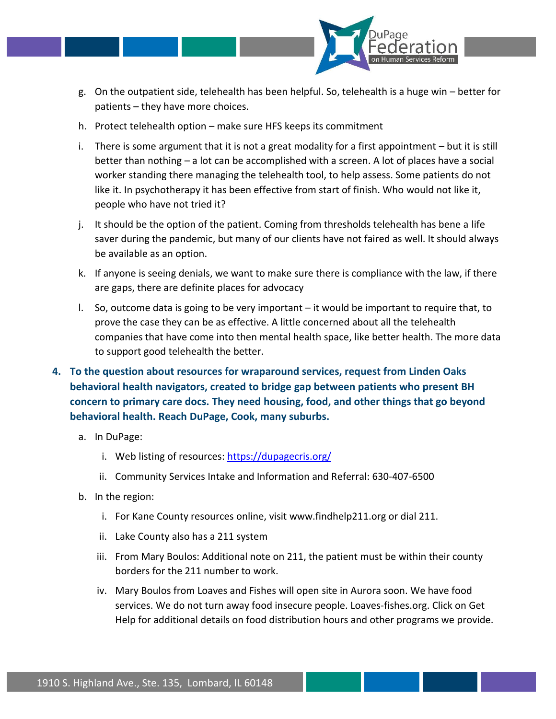

- g. On the outpatient side, telehealth has been helpful. So, telehealth is a huge win better for patients – they have more choices.
- h. Protect telehealth option make sure HFS keeps its commitment
- i. There is some argument that it is not a great modality for a first appointment but it is still better than nothing – a lot can be accomplished with a screen. A lot of places have a social worker standing there managing the telehealth tool, to help assess. Some patients do not like it. In psychotherapy it has been effective from start of finish. Who would not like it, people who have not tried it?
- j. It should be the option of the patient. Coming from thresholds telehealth has bene a life saver during the pandemic, but many of our clients have not faired as well. It should always be available as an option.
- k. If anyone is seeing denials, we want to make sure there is compliance with the law, if there are gaps, there are definite places for advocacy
- l. So, outcome data is going to be very important it would be important to require that, to prove the case they can be as effective. A little concerned about all the telehealth companies that have come into then mental health space, like better health. The more data to support good telehealth the better.
- **4. To the question about resources for wraparound services, request from Linden Oaks behavioral health navigators, created to bridge gap between patients who present BH concern to primary care docs. They need housing, food, and other things that go beyond behavioral health. Reach DuPage, Cook, many suburbs.**
	- a. In DuPage:
		- i. Web listing of resources:<https://dupagecris.org/>
		- ii. Community Services Intake and Information and Referral: 630-407-6500
	- b. In the region:
		- i. For Kane County resources online, visit www.findhelp211.org or dial 211.
		- ii. Lake County also has a 211 system
		- iii. From Mary Boulos: Additional note on 211, the patient must be within their county borders for the 211 number to work.
		- iv. Mary Boulos from Loaves and Fishes will open site in Aurora soon. We have food services. We do not turn away food insecure people. Loaves-fishes.org. Click on Get Help for additional details on food distribution hours and other programs we provide.